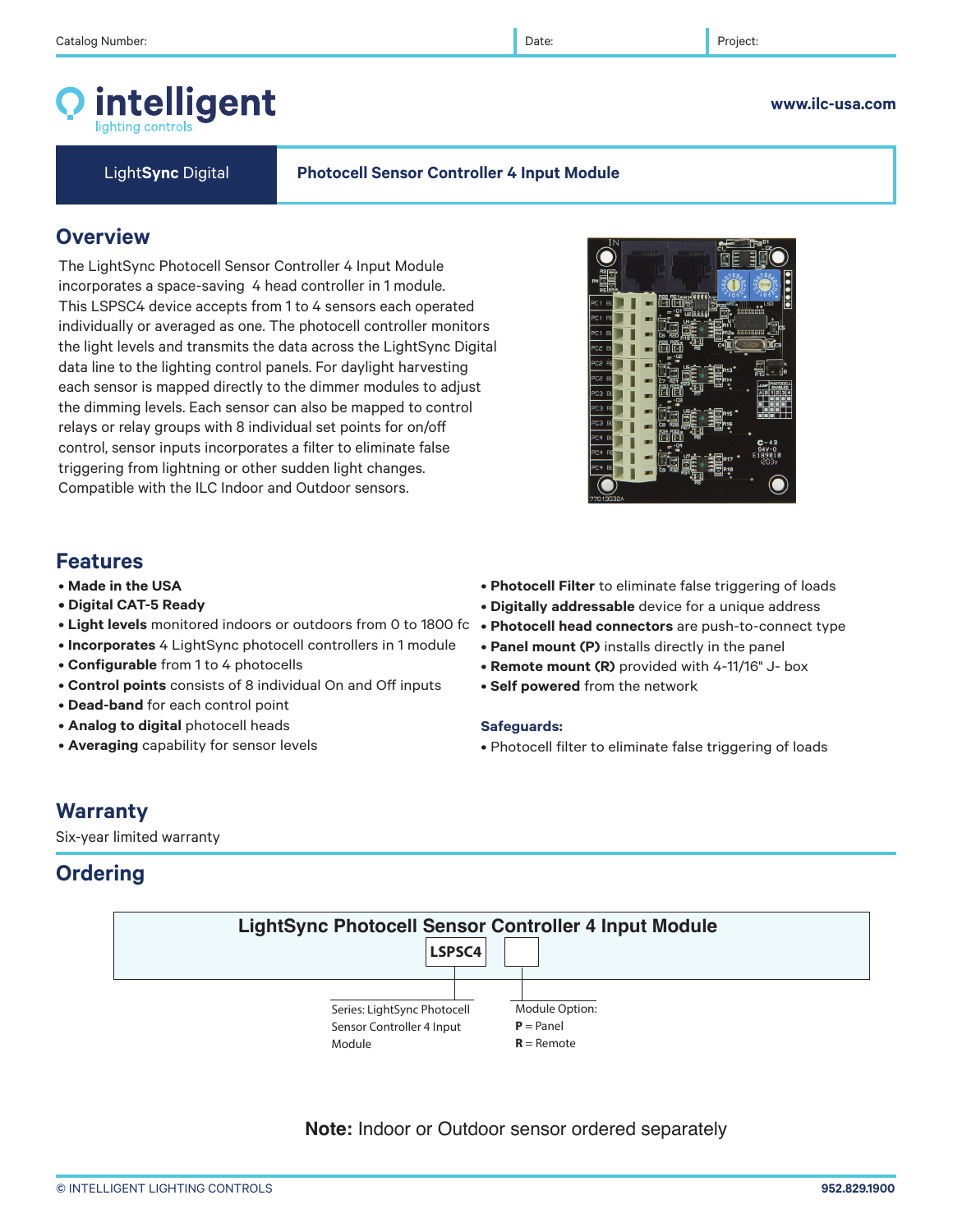intelligent

**Overview**

### © INTELLIGENT LIGHTING CONTROLS **952.829.1900**

# **Features**

- **Made in the USA • Digital CAT-5 Ready**
- 
- **Light levels** monitored indoors or outdoors from 0 to 1800 fc **Photocell head connectors** are push-to-connect type
- **Incorporates** 4 LightSync photocell controllers in 1 module

The LightSync Photocell Sensor Controller 4 Input Module incorporates a space-saving 4 head controller in 1 module. This LSPSC4 device accepts from 1 to 4 sensors each operated individually or averaged as one. The photocell controller monitors the light levels and transmits the data across the LightSync Digital data line to the lighting control panels. For daylight harvesting each sensor is mapped directly to the dimmer modules to adjust the dimming levels. Each sensor can also be mapped to control relays or relay groups with 8 individual set points for on/off control, sensor inputs incorporates a filter to eliminate false triggering from lightning or other sudden light changes. Compatible with the ILC Indoor and Outdoor sensors.

- **Configurable** from 1 to 4 photocells
- **Control points** consists of 8 individual On and Off inputs
- **Dead-band** for each control point
- **Analog to digital** photocell heads
- **Averaging** capability for sensor levels
- **Photocell Filter** to eliminate false triggering of loads
- **Digitally addressable** device for a unique address
- 
- **Panel mount (P)** installs directly in the panel
- **Remote mount (R)** provided with 4-11/16" J- box
- **Self powered** from the network

### **Safeguards:**

• Photocell filter to eliminate false triggering of loads

## **Warranty**

Six-year limited warranty

## **Ordering**



**Note:** Indoor or Outdoor sensor ordered separately



# Light**Sync** Digital **Photocell Sensor Controller 4 Input Module**

### **www.ilc-usa.com**